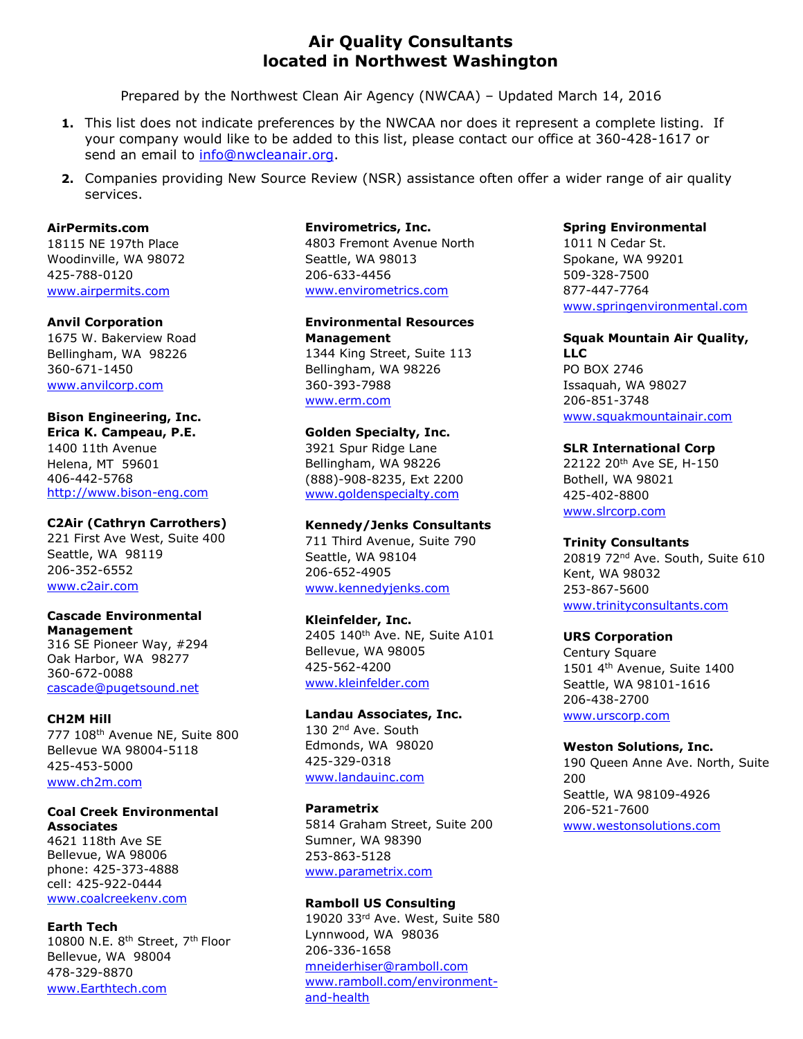## **Air Quality Consultants located in Northwest Washington**

Prepared by the Northwest Clean Air Agency (NWCAA) – Updated March 14, 2016

- **1.** This list does not indicate preferences by the NWCAA nor does it represent a complete listing. If your company would like to be added to this list, please contact our office at 360-428-1617 or send an email to info@nwcleanair.org.
- **2.** Companies providing New Source Review (NSR) assistance often offer a wider range of air quality services.

## **AirPermits.com**

18115 NE 197th Place Woodinville, WA 98072 425-788-0120 www.airpermits.com

#### **Anvil Corporation**

1675 W. Bakerview Road Bellingham, WA 98226 360-671-1450 www.anvilcorp.com

## **Bison Engineering, Inc.**

**Erica K. Campeau, P.E.** 1400 11th Avenue Helena, MT 59601 406-442-5768 http://www.bison-eng.com

#### **C2Air (Cathryn Carrothers)**

221 First Ave West, Suite 400 Seattle, WA 98119 206-352-6552 www.c2air.com

#### **Cascade Environmental Management**

316 SE Pioneer Way, #294 Oak Harbor, WA 98277 360-672-0088 cascade@pugetsound.net

## **CH2M Hill**

777 108th Avenue NE, Suite 800 Bellevue WA 98004-5118 425-453-5000 www.ch2m.com

## **Coal Creek Environmental Associates**

4621 118th Ave SE Bellevue, WA 98006 phone: 425-373-4888 cell: 425-922-0444 www.coalcreekenv.com

## **Earth Tech**

10800 N.E. 8th Street, 7th Floor Bellevue, WA 98004 478-329-8870 www.Earthtech.com

#### **Envirometrics, Inc.**

4803 Fremont Avenue North Seattle, WA 98013 206-633-4456 www.envirometrics.com

**Environmental Resources Management** 1344 King Street, Suite 113 Bellingham, WA 98226 360-393-7988 www.erm.com

## **Golden Specialty, Inc.**

3921 Spur Ridge Lane Bellingham, WA 98226 (888)-908-8235, Ext 2200 www.goldenspecialty.com

## **Kennedy/Jenks Consultants**

711 Third Avenue, Suite 790 Seattle, WA 98104 206-652-4905 www.kennedyjenks.com

## **Kleinfelder, Inc.**

2405 140<sup>th</sup> Ave. NE, Suite A101 Bellevue, WA 98005 425-562-4200 www.kleinfelder.com

## **Landau Associates, Inc.** 130 2<sup>nd</sup> Ave. South Edmonds, WA 98020 425-329-0318 www.landauinc.com

**Parametrix** 5814 Graham Street, Suite 200 Sumner, WA 98390 253-863-5128 www.parametrix.com

## **Ramboll US Consulting**

19020 33rd Ave. West, Suite 580 Lynnwood, WA 98036 206-336-1658 mneiderhiser@ramboll.com www.ramboll.com/environmentand-health

#### **Spring Environmental**

1011 N Cedar St. Spokane, WA 99201 509-328-7500 877-447-7764 www.springenvironmental.com

## **Squak Mountain Air Quality, LLC**

PO BOX 2746 Issaquah, WA 98027 206-851-3748 www.squakmountainair.com

#### **SLR International Corp**

22122 20th Ave SE, H-150 Bothell, WA 98021 425-402-8800 www.slrcorp.com

## **Trinity Consultants**

20819 72nd Ave. South, Suite 610 Kent, WA 98032 253-867-5600 www.trinityconsultants.com

#### **URS Corporation**

Century Square 1501 4th Avenue, Suite 1400 Seattle, WA 98101-1616 206-438-2700 www.urscorp.com

#### **Weston Solutions, Inc.**

190 Queen Anne Ave. North, Suite 200 Seattle, WA 98109-4926 206-521-7600 www.westonsolutions.com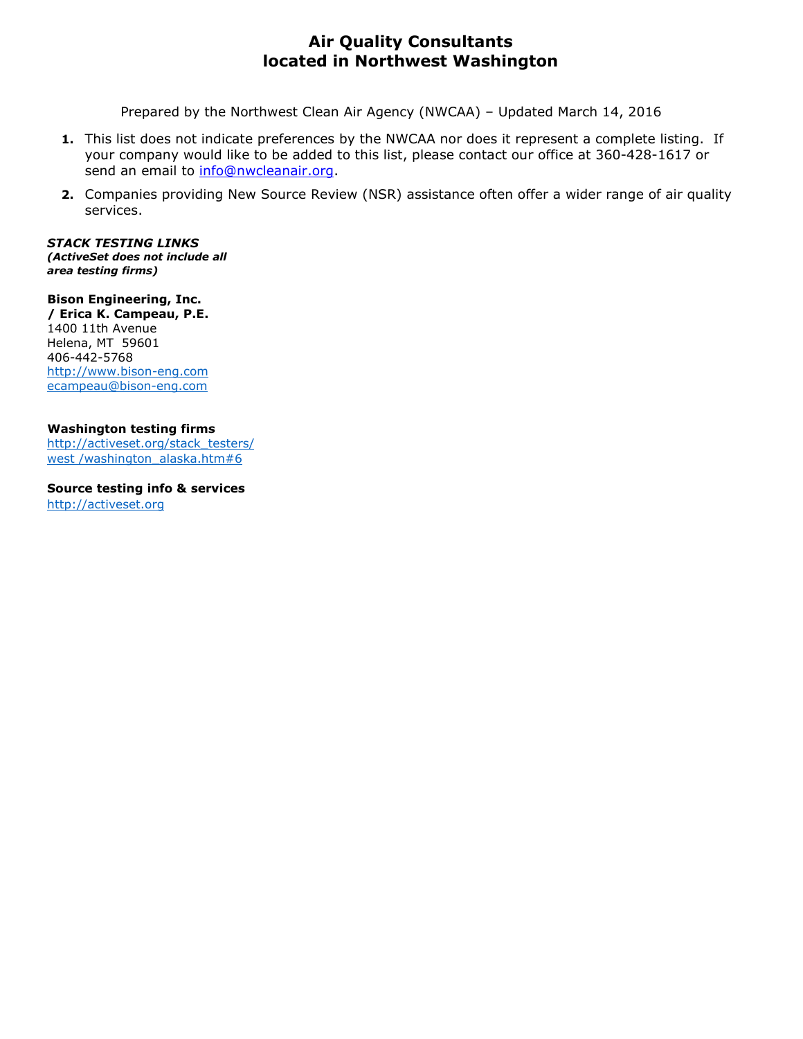# **Air Quality Consultants located in Northwest Washington**

Prepared by the Northwest Clean Air Agency (NWCAA) – Updated March 14, 2016

- **1.** This list does not indicate preferences by the NWCAA nor does it represent a complete listing. If your company would like to be added to this list, please contact our office at 360-428-1617 or send an email to info@nwcleanair.org.
- **2.** Companies providing New Source Review (NSR) assistance often offer a wider range of air quality services.

*STACK TESTING LINKS (ActiveSet does not include all area testing firms)*

**Bison Engineering, Inc. / Erica K. Campeau, P.E.** 1400 11th Avenue Helena, MT 59601 406-442-5768 http://www.bison-eng.com ecampeau@bison-eng.com

## **Washington testing firms**

http://activeset.org/stack\_testers/ west /washington\_alaska.htm#6

**Source testing info & services**  http://activeset.org